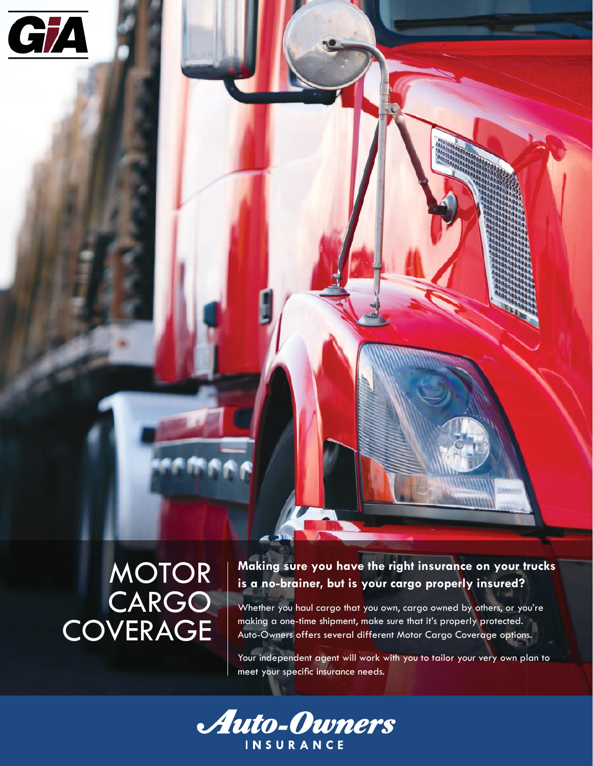



**Making sure you have the right insurance on your trucks is a no-brainer, but is your cargo properly insured?** 

Whether you haul cargo that you own, cargo owned by others, or you're making a one-time shipment, make sure that it's properly protected. Auto-Owners offers several different Motor Cargo Coverage options.

Your independent agent will work with you to tailor your very own plan to meet your specific insurance needs.